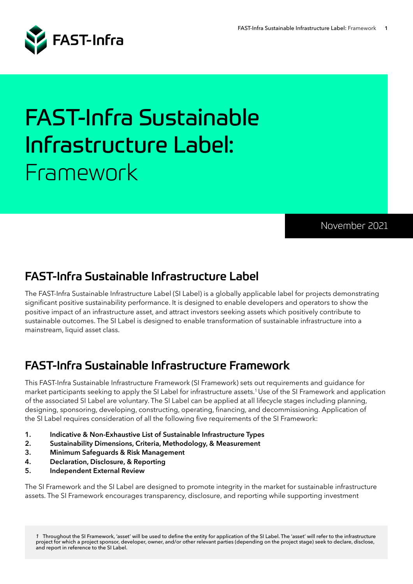

# FAST-Infra Sustainable Infrastructure Label: Framework

November 2021

# FAST-Infra Sustainable Infrastructure Label

The FAST-Infra Sustainable Infrastructure Label (SI Label) is a globally applicable label for projects demonstrating significant positive sustainability performance. It is designed to enable developers and operators to show the positive impact of an infrastructure asset, and attract investors seeking assets which positively contribute to sustainable outcomes. The SI Label is designed to enable transformation of sustainable infrastructure into a mainstream, liquid asset class.

# FAST-Infra Sustainable Infrastructure Framework

This FAST-Infra Sustainable Infrastructure Framework (SI Framework) sets out requirements and guidance for market participants seeking to apply the SI Label for infrastructure assets.<sup>1</sup> Use of the SI Framework and application of the associated SI Label are voluntary. The SI Label can be applied at all lifecycle stages including planning, designing, sponsoring, developing, constructing, operating, financing, and decommissioning. Application of the SI Label requires consideration of all the following five requirements of the SI Framework:

- **1. Indicative & Non-Exhaustive List of Sustainable Infrastructure Types**
- **2. Sustainability Dimensions, Criteria, Methodology, & Measurement**
- **3. Minimum Safeguards & Risk Management**
- **4. Declaration, Disclosure, & Reporting**
- **5. Independent External Review**

The SI Framework and the SI Label are designed to promote integrity in the market for sustainable infrastructure assets. The SI Framework encourages transparency, disclosure, and reporting while supporting investment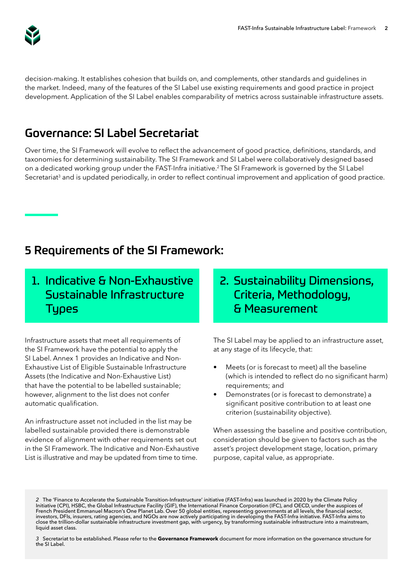

decision-making. It establishes cohesion that builds on, and complements, other standards and guidelines in the market. Indeed, many of the features of the SI Label use existing requirements and good practice in project development. Application of the SI Label enables comparability of metrics across sustainable infrastructure assets.

# Governance: SI Label Secretariat

Over time, the SI Framework will evolve to reflect the advancement of good practice, definitions, standards, and taxonomies for determining sustainability. The SI Framework and SI Label were collaboratively designed based on a dedicated working group under the FAST-Infra initiative.<sup>2</sup>The SI Framework is governed by the SI Label Secretariat<sup>3</sup> and is updated periodically, in order to reflect continual improvement and application of good practice.

#### 5 Requirements of the SI Framework:

## 1. Indicative & Non-Exhaustive Sustainable Infrastructure **Tupes**

Infrastructure assets that meet all requirements of the SI Framework have the potential to apply the SI Label. Annex 1 provides an Indicative and Non-Exhaustive List of Eligible Sustainable Infrastructure Assets (the Indicative and Non-Exhaustive List) that have the potential to be labelled sustainable; however, alignment to the list does not confer automatic qualification.

An infrastructure asset not included in the list may be labelled sustainable provided there is demonstrable evidence of alignment with other requirements set out in the SI Framework. The Indicative and Non-Exhaustive List is illustrative and may be updated from time to time.

2. Sustainability Dimensions, Criteria, Methodology, & Measurement

The SI Label may be applied to an infrastructure asset, at any stage of its lifecycle, that:

- Meets (or is forecast to meet) all the baseline (which is intended to reflect do no significant harm) requirements; and
- Demonstrates (or is forecast to demonstrate) a significant positive contribution to at least one criterion (sustainability objective).

When assessing the baseline and positive contribution, consideration should be given to factors such as the asset's project development stage, location, primary purpose, capital value, as appropriate.

*<sup>2</sup>* The 'Finance to Accelerate the Sustainable Transition-Infrastructure' initiative (FAST-Infra) was launched in 2020 by the Climate Policy Initiative (CPI), HSBC, the Global Infrastructure Facility (GIF), the International Finance Corporation (IFC), and OECD, under the auspices of French President Emmanuel Macron's One Planet Lab. Over 50 global entities, representing governments at all levels, the financial sector, investors, DFIs, insurers, rating agencies, and NGOs are now actively participating in developing the FAST-Infra initiative. FAST-Infra aims to close the trillion-dollar sustainable infrastructure investment gap, with urgency, by transforming sustainable infrastructure into a mainstream, liquid asset class.

*<sup>3</sup>* Secretariat to be established. Please refer to the **Governance Framework** document for more information on the governance structure for the SI Label.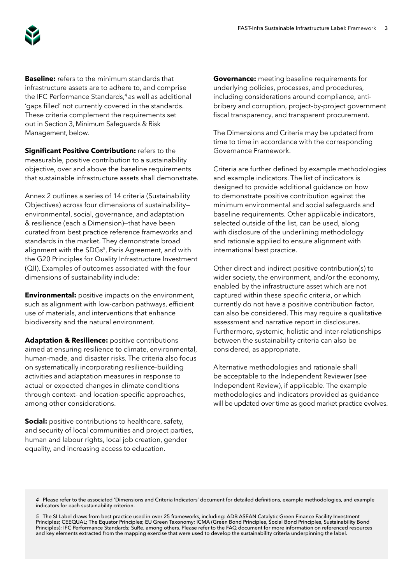

**Baseline:** refers to the minimum standards that infrastructure assets are to adhere to, and comprise the IFC Performance Standards,<sup>4</sup> as well as additional 'gaps filled' not currently covered in the standards. These criteria complement the requirements set out in Section 3, Minimum Safeguards & Risk Management, below.

**Significant Positive Contribution:** refers to the measurable, positive contribution to a sustainability objective, over and above the baseline requirements that sustainable infrastructure assets shall demonstrate.

Annex 2 outlines a series of 14 criteria (Sustainability Objectives) across four dimensions of sustainability environmental, social, governance, and adaptation & resilience (each a Dimension)—that have been curated from best practice reference frameworks and standards in the market. They demonstrate broad alignment with the SDGs<sup>5</sup>, Paris Agreement, and with the G20 Principles for Quality Infrastructure Investment (QII). Examples of outcomes associated with the four dimensions of sustainability include:

**Environmental:** positive impacts on the environment, such as alignment with low-carbon pathways, efficient use of materials, and interventions that enhance biodiversity and the natural environment.

**Adaptation & Resilience: positive contributions** aimed at ensuring resilience to climate, environmental, human-made, and disaster risks. The criteria also focus on systematically incorporating resilience-building activities and adaptation measures in response to actual or expected changes in climate conditions through context- and location-specific approaches, among other considerations.

**Social:** positive contributions to healthcare, safety, and security of local communities and project parties, human and labour rights, local job creation, gender equality, and increasing access to education.

**Governance:** meeting baseline requirements for underlying policies, processes, and procedures, including considerations around compliance, antibribery and corruption, project-by-project government fiscal transparency, and transparent procurement.

The Dimensions and Criteria may be updated from time to time in accordance with the corresponding Governance Framework.

Criteria are further defined by example methodologies and example indicators. The list of indicators is designed to provide additional guidance on how to demonstrate positive contribution against the minimum environmental and social safeguards and baseline requirements. Other applicable indicators, selected outside of the list, can be used, along with disclosure of the underlining methodology and rationale applied to ensure alignment with international best practice.

Other direct and indirect positive contribution(s) to wider society, the environment, and/or the economy, enabled by the infrastructure asset which are not captured within these specific criteria, or which currently do not have a positive contribution factor, can also be considered. This may require a qualitative assessment and narrative report in disclosures. Furthermore, systemic, holistic and inter-relationships between the sustainability criteria can also be considered, as appropriate.

Alternative methodologies and rationale shall be acceptable to the Independent Reviewer (see Independent Review), if applicable. The example methodologies and indicators provided as guidance will be updated over time as good market practice evolves.

*4* Please refer to the associated 'Dimensions and Criteria Indicators' document for detailed definitions, example methodologies, and example indicators for each sustainability criterion.

*5* The SI Label draws from best practice used in over 25 frameworks, including: ADB ASEAN Catalytic Green Finance Facility Investment Principles; CEEQUAL; The Equator Principles; EU Green Taxonomy; ICMA (Green Bond Principles, Social Bond Principles, Sustainability Bond Principles); IFC Performance Standards; SuRe, among others. Please refer to the FAQ document for more information on referenced resources and key elements extracted from the mapping exercise that were used to develop the sustainability criteria underpinning the label.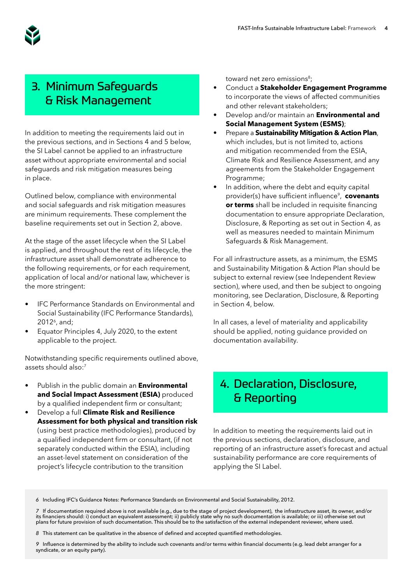

## 3. Minimum Safeguards & Risk Management

In addition to meeting the requirements laid out in the previous sections, and in Sections 4 and 5 below, the SI Label cannot be applied to an infrastructure asset without appropriate environmental and social safeguards and risk mitigation measures being in place.

Outlined below, compliance with environmental and social safeguards and risk mitigation measures are minimum requirements. These complement the baseline requirements set out in Section 2, above.

At the stage of the asset lifecycle when the SI Label is applied, and throughout the rest of its lifecycle, the infrastructure asset shall demonstrate adherence to the following requirements, or for each requirement, application of local and/or national law, whichever is the more stringent:

- IFC Performance Standards on Environmental and Social Sustainability (IFC Performance Standards), 2012<sup>6</sup>, and;
- Equator Principles 4, July 2020, to the extent applicable to the project.

Notwithstanding specific requirements outlined above, assets should also:<sup>7</sup>

- Publish in the public domain an **Environmental and Social Impact Assessment (ESIA)** produced by a qualified independent firm or consultant;
- Develop a full **Climate Risk and Resilience Assessment for both physical and transition risk**  (using best practice methodologies), produced by a qualified independent firm or consultant, (if not separately conducted within the ESIA), including an asset-level statement on consideration of the project's lifecycle contribution to the transition

toward net zero emissions<sup>8</sup>;

- Conduct a **Stakeholder Engagement Programme** to incorporate the views of affected communities and other relevant stakeholders;
- Develop and/or maintain an **Environmental and Social Management System (ESMS)**;
- Prepare a **Sustainability Mitigation & Action Plan**, which includes, but is not limited to, actions and mitigation recommended from the ESIA, Climate Risk and Resilience Assessment, and any agreements from the Stakeholder Engagement Programme;
- In addition, where the debt and equity capital provider(s) have sufficient influence<sup>9</sup>, **covenants or terms** shall be included in requisite financing documentation to ensure appropriate Declaration, Disclosure, & Reporting as set out in Section 4, as well as measures needed to maintain Minimum Safeguards & Risk Management.

For all infrastructure assets, as a minimum, the ESMS and Sustainability Mitigation & Action Plan should be subject to external review (see Independent Review section), where used, and then be subject to ongoing monitoring, see Declaration, Disclosure, & Reporting in Section 4, below.

In all cases, a level of materiality and applicability should be applied, noting guidance provided on documentation availability.

#### 4. Declaration, Disclosure, & Reporting

In addition to meeting the requirements laid out in the previous sections, declaration, disclosure, and reporting of an infrastructure asset's forecast and actual sustainability performance are core requirements of applying the SI Label.

*6* Including IFC's Guidance Notes: Performance Standards on Environmental and Social Sustainability, 2012.

*7* If documentation required above is not available (e.g., due to the stage of project development), the infrastructure asset, its owner, and/or its financiers should: i) conduct an equivalent assessment; ii) publicly state why no such documentation is available; or iii) otherwise set out plans for future provision of such documentation. This should be to the satisfaction of the external independent reviewer, where used.

*8* This statement can be qualitative in the absence of defined and accepted quantified methodologies.

*9* Influence is determined by the ability to include such covenants and/or terms within financial documents (e.g. lead debt arranger for a syndicate, or an equity party).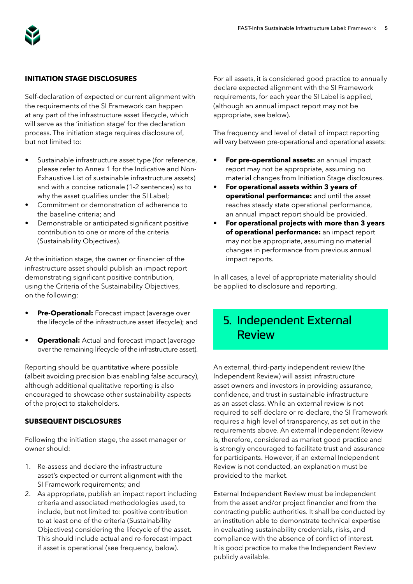

#### **INITIATION STAGE DISCLOSURES**

Self-declaration of expected or current alignment with the requirements of the SI Framework can happen at any part of the infrastructure asset lifecycle, which will serve as the 'initiation stage' for the declaration process. The initiation stage requires disclosure of, but not limited to:

- Sustainable infrastructure asset type (for reference, please refer to Annex 1 for the Indicative and Non-Exhaustive List of sustainable infrastructure assets) and with a concise rationale (1-2 sentences) as to why the asset qualifies under the SI Label;
- Commitment or demonstration of adherence to the baseline criteria; and
- Demonstrable or anticipated significant positive contribution to one or more of the criteria (Sustainability Objectives).

At the initiation stage, the owner or financier of the infrastructure asset should publish an impact report demonstrating significant positive contribution, using the Criteria of the Sustainability Objectives, on the following:

- **Pre-Operational:** Forecast impact (average over the lifecycle of the infrastructure asset lifecycle); and
- **Operational:** Actual and forecast impact (average over the remaining lifecycle of the infrastructure asset).

Reporting should be quantitative where possible (albeit avoiding precision bias enabling false accuracy), although additional qualitative reporting is also encouraged to showcase other sustainability aspects of the project to stakeholders.

#### **SUBSEQUENT DISCLOSURES**

Following the initiation stage, the asset manager or owner should:

- 1. Re-assess and declare the infrastructure asset's expected or current alignment with the SI Framework requirements; and
- 2. As appropriate, publish an impact report including criteria and associated methodologies used, to include, but not limited to: positive contribution to at least one of the criteria (Sustainability Objectives) considering the lifecycle of the asset. This should include actual and re-forecast impact if asset is operational (see frequency, below).

For all assets, it is considered good practice to annually declare expected alignment with the SI Framework requirements, for each year the SI Label is applied, (although an annual impact report may not be appropriate, see below).

The frequency and level of detail of impact reporting will vary between pre-operational and operational assets:

- **• For pre-operational assets:** an annual impact report may not be appropriate, assuming no material changes from Initiation Stage disclosures.
- **• For operational assets within 3 years of operational performance:** and until the asset reaches steady state operational performance, an annual impact report should be provided.
- **• For operational projects with more than 3 years of operational performance:** an impact report may not be appropriate, assuming no material changes in performance from previous annual impact reports.

In all cases, a level of appropriate materiality should be applied to disclosure and reporting.

#### 5. Independent External Review

An external, third-party independent review (the Independent Review) will assist infrastructure asset owners and investors in providing assurance, confidence, and trust in sustainable infrastructure as an asset class. While an external review is not required to self-declare or re-declare, the SI Framework requires a high level of transparency, as set out in the requirements above. An external Independent Review is, therefore, considered as market good practice and is strongly encouraged to facilitate trust and assurance for participants. However, if an external Independent Review is not conducted, an explanation must be provided to the market.

External Independent Review must be independent from the asset and/or project financier and from the contracting public authorities. It shall be conducted by an institution able to demonstrate technical expertise in evaluating sustainability credentials, risks, and compliance with the absence of conflict of interest. It is good practice to make the Independent Review publicly available.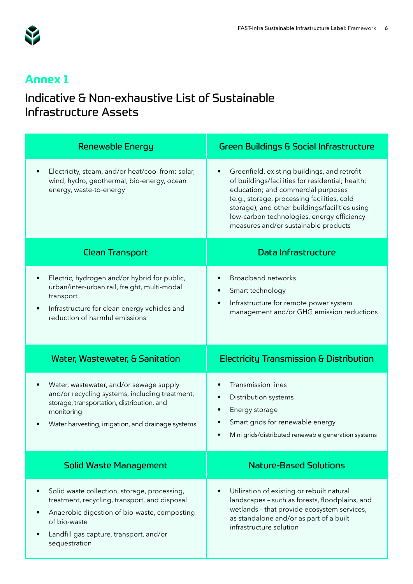

# **Annex 1**

## Indicative & Non-exhaustive List of Sustainable Infrastructure Assets

| <b>Renewable Energy</b>                                                                                                                                                                                               | <b>Green Buildings &amp; Social Infrastructure</b>                                                                                                                                                                                                                                                                            |
|-----------------------------------------------------------------------------------------------------------------------------------------------------------------------------------------------------------------------|-------------------------------------------------------------------------------------------------------------------------------------------------------------------------------------------------------------------------------------------------------------------------------------------------------------------------------|
| Electricity, steam, and/or heat/cool from: solar,<br>wind, hydro, geothermal, bio-energy, ocean<br>energy, waste-to-energy                                                                                            | Greenfield, existing buildings, and retrofit<br>of buildings/facilities for residential; health;<br>education; and commercial purposes<br>(e.g., storage, processing facilities, cold<br>storage); and other buildings/facilities using<br>low-carbon technologies, energy efficiency<br>measures and/or sustainable products |
| <b>Clean Transport</b>                                                                                                                                                                                                | <b>Data Infrastructure</b>                                                                                                                                                                                                                                                                                                    |
| Electric, hydrogen and/or hybrid for public,<br>$\bullet$<br>urban/inter-urban rail, freight, multi-modal<br>transport<br>Infrastructure for clean energy vehicles and<br>$\bullet$<br>reduction of harmful emissions | <b>Broadband networks</b><br>$\bullet$<br>Smart technology<br>٠<br>Infrastructure for remote power system<br>$\bullet$<br>management and/or GHG emission reductions                                                                                                                                                           |
| <b>Water, Wastewater, &amp; Sanitation</b>                                                                                                                                                                            | <b>Electricity Transmission &amp; Distribution</b>                                                                                                                                                                                                                                                                            |
| Water, wastewater, and/or sewage supply<br>and/or recycling systems, including treatment,<br>storage, transportation, distribution, and<br>monitoring<br>Water harvesting, irrigation, and drainage systems           | <b>Transmission lines</b><br>Distribution systems<br>Energy storage<br>Smart grids for renewable energy<br>Mini grids/distributed renewable generation systems                                                                                                                                                                |
| <b>Solid Waste Management</b>                                                                                                                                                                                         |                                                                                                                                                                                                                                                                                                                               |
|                                                                                                                                                                                                                       | <b>Nature-Based Solutions</b>                                                                                                                                                                                                                                                                                                 |